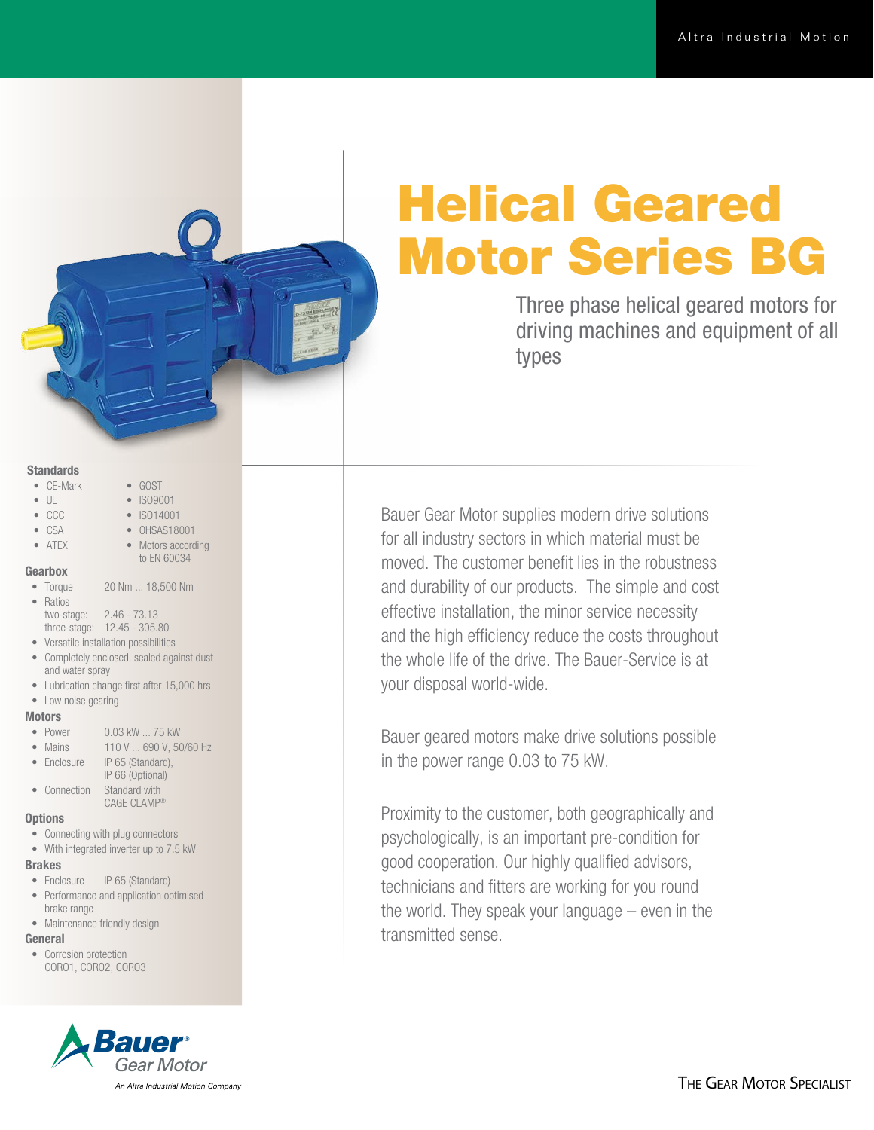# Helical Geared Motor Series BG

Three phase helical geared motors for driving machines and equipment of all types

## **Standards**

- CE-Mark
- UL
- CCC
- CSA • ATEX
- ISO14001 • OHSAS18001
	- Motors according to EN 60034

• GOST • ISO9001

#### Gearbox

- Torque 20 Nm ... 18,500 Nm
- Ratios two-stage: 2.46 - 73.13
	- three-stage: 12.45 305.80
- Versatile installation possibilities
- Completely enclosed, sealed against dust and water spray
- Lubrication change first after 15,000 hrs
- Low noise gearing

#### **Motors**

- Power 0.03 kW ... 75 kW
- Mains 110 V ... 690 V, 50/60 Hz
- Enclosure IP 65 (Standard), IP 66 (Optional) • Connection Standard with
- CAGE CLAMP®

## **Options**

- Connecting with plug connectors
- With integrated inverter up to 7.5 kW

### Brakes

- Enclosure IP 65 (Standard)
- Performance and application optimised brake range
- Maintenance friendly design

## General

• Corrosion protection CORO1, CORO2, CORO3



Bauer Gear Motor supplies modern drive solutions for all industry sectors in which material must be moved. The customer benefit lies in the robustness and durability of our products. The simple and cost effective installation, the minor service necessity and the high efficiency reduce the costs throughout the whole life of the drive. The Bauer-Service is at your disposal world-wide.

Bauer geared motors make drive solutions possible in the power range 0.03 to 75 kW.

Proximity to the customer, both geographically and psychologically, is an important pre-condition for good cooperation. Our highly qualified advisors, technicians and fitters are working for you round the world. They speak your language – even in the transmitted sense.